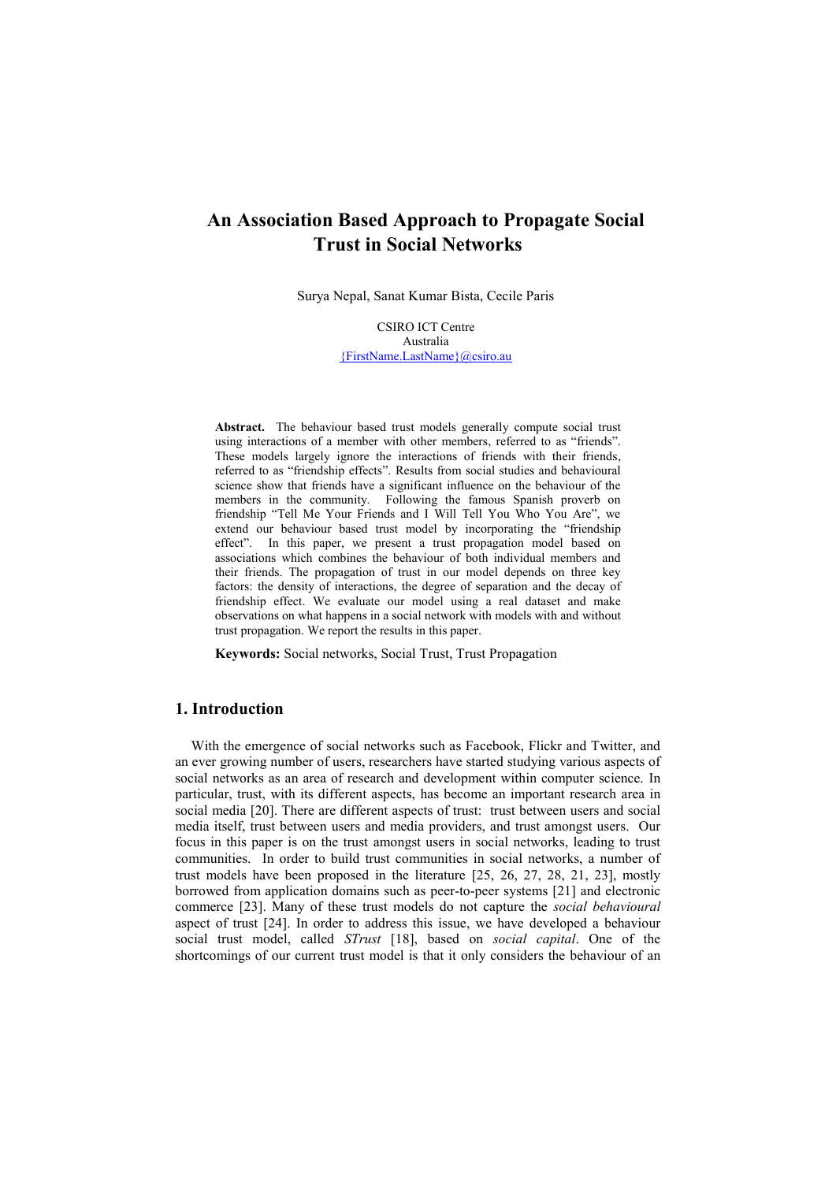# **An Association Based Approach to Propagate Social Trust in Social Networks**

Surya Nepal, Sanat Kumar Bista, Cecile Paris

CSIRO ICT Centre Australia [{FirstName.LastName}@csiro.au](mailto:%7bFirstName.LastName%7d@csiro.au)

**Abstract.** The behaviour based trust models generally compute social trust using interactions of a member with other members, referred to as "friends". These models largely ignore the interactions of friends with their friends, referred to as "friendship effects". Results from social studies and behavioural science show that friends have a significant influence on the behaviour of the members in the community. Following the famous Spanish proverb on friendship "Tell Me Your Friends and I Will Tell You Who You Are", we extend our behaviour based trust model by incorporating the "friendship effect". In this paper, we present a trust propagation model based on associations which combines the behaviour of both individual members and their friends. The propagation of trust in our model depends on three key factors: the density of interactions, the degree of separation and the decay of friendship effect. We evaluate our model using a real dataset and make observations on what happens in a social network with models with and without trust propagation. We report the results in this paper.

**Keywords:** Social networks, Social Trust, Trust Propagation

## **1. Introduction**

With the emergence of social networks such as Facebook, Flickr and Twitter, and an ever growing number of users, researchers have started studying various aspects of social networks as an area of research and development within computer science. In particular, trust, with its different aspects, has become an important research area in social media [\[20\]](#page-11-0). There are different aspects of trust: trust between users and social media itself, trust between users and media providers, and trust amongst users. Our focus in this paper is on the trust amongst users in social networks, leading to trust communities. In order to build trust communities in social networks, a number of trust models have been proposed in the literature [\[25,](#page-11-1) [26,](#page-11-2) [27,](#page-11-3) [28,](#page-11-4) [21,](#page-11-5) [23\]](#page-11-6), mostly borrowed from application domains such as peer-to-peer systems [\[21\]](#page-11-5) and electronic commerce [\[23\]](#page-11-6). Many of these trust models do not capture the *social behavioural*  aspect of trust [\[24\]](#page-11-7). In order to address this issue, we have developed a behaviour social trust model, called *STrust* [\[18\]](#page-11-8), based on *social capital*. One of the shortcomings of our current trust model is that it only considers the behaviour of an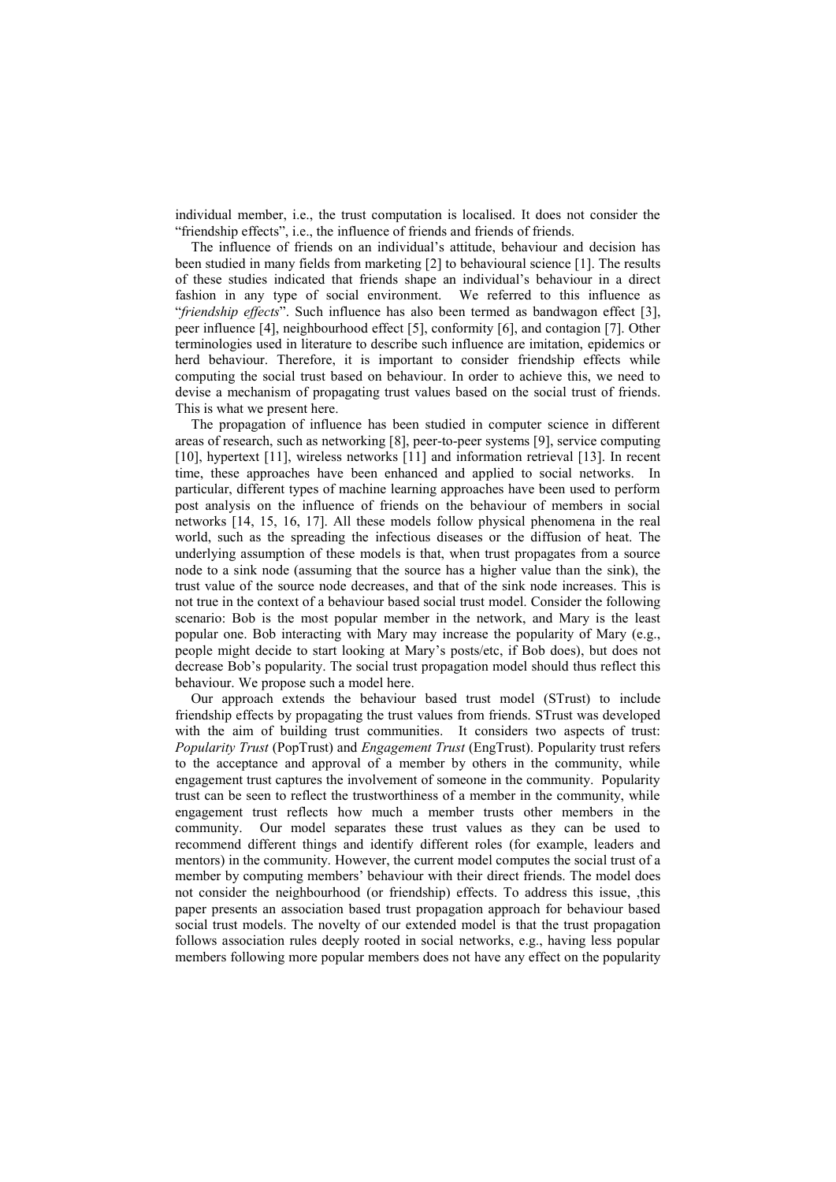individual member, i.e., the trust computation is localised. It does not consider the "friendship effects", i.e., the influence of friends and friends of friends.

The influence of friends on an individual's attitude, behaviour and decision has been studied in many fields from marketing [\[2\]](#page-10-0) to behavioural science [\[1\]](#page-10-1). The results of these studies indicated that friends shape an individual's behaviour in a direct fashion in any type of social environment. We referred to this influence as "*friendship effects*". Such influence has also been termed as bandwagon effect [\[3\]](#page-10-2), peer influence [\[4\]](#page-10-3), neighbourhood effect [\[5\]](#page-10-4), conformity [\[6\]](#page-10-5), and contagion [\[7\]](#page-10-6). Other terminologies used in literature to describe such influence are imitation, epidemics or herd behaviour. Therefore, it is important to consider friendship effects while computing the social trust based on behaviour. In order to achieve this, we need to devise a mechanism of propagating trust values based on the social trust of friends. This is what we present here.

The propagation of influence has been studied in computer science in different areas of research, such as networking [\[8\]](#page-10-7), peer-to-peer systems [\[9\]](#page-10-8), service computing [\[10\]](#page-10-9), hypertext [\[11\]](#page-10-10), wireless networks [11] and information retrieval [\[13\]](#page-11-9). In recent time, these approaches have been enhanced and applied to social networks. In particular, different types of machine learning approaches have been used to perform post analysis on the influence of friends on the behaviour of members in social networks [\[14,](#page-11-10) [15,](#page-11-11) [16,](#page-11-12) [17\]](#page-11-13). All these models follow physical phenomena in the real world, such as the spreading the infectious diseases or the diffusion of heat. The underlying assumption of these models is that, when trust propagates from a source node to a sink node (assuming that the source has a higher value than the sink), the trust value of the source node decreases, and that of the sink node increases. This is not true in the context of a behaviour based social trust model. Consider the following scenario: Bob is the most popular member in the network, and Mary is the least popular one. Bob interacting with Mary may increase the popularity of Mary (e.g., people might decide to start looking at Mary's posts/etc, if Bob does), but does not decrease Bob's popularity. The social trust propagation model should thus reflect this behaviour. We propose such a model here.

Our approach extends the behaviour based trust model (STrust) to include friendship effects by propagating the trust values from friends. STrust was developed with the aim of building trust communities. It considers two aspects of trust: *Popularity Trust* (PopTrust) and *Engagement Trust* (EngTrust). Popularity trust refers to the acceptance and approval of a member by others in the community, while engagement trust captures the involvement of someone in the community. Popularity trust can be seen to reflect the trustworthiness of a member in the community, while engagement trust reflects how much a member trusts other members in the community. Our model separates these trust values as they can be used to recommend different things and identify different roles (for example, leaders and mentors) in the community. However, the current model computes the social trust of a member by computing members' behaviour with their direct friends. The model does not consider the neighbourhood (or friendship) effects. To address this issue, ,this paper presents an association based trust propagation approach for behaviour based social trust models. The novelty of our extended model is that the trust propagation follows association rules deeply rooted in social networks, e.g., having less popular members following more popular members does not have any effect on the popularity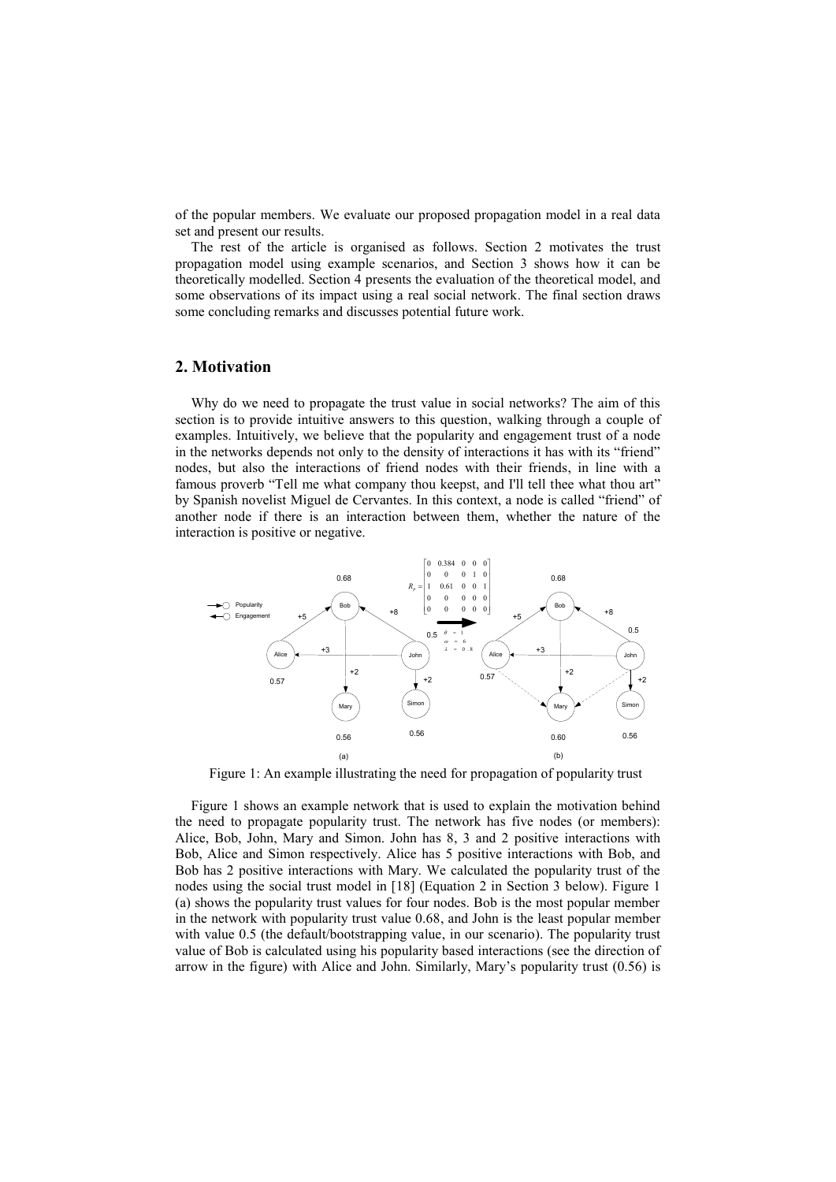of the popular members. We evaluate our proposed propagation model in a real data set and present our results.

The rest of the article is organised as follows. Section 2 motivates the trust propagation model using example scenarios, and Section 3 shows how it can be theoretically modelled. Section 4 presents the evaluation of the theoretical model, and some observations of its impact using a real social network. The final section draws some concluding remarks and discusses potential future work.

## **2. Motivation**

Why do we need to propagate the trust value in social networks? The aim of this section is to provide intuitive answers to this question, walking through a couple of examples. Intuitively, we believe that the popularity and engagement trust of a node in the networks depends not only to the density of interactions it has with its "friend" nodes, but also the interactions of friend nodes with their friends, in line with a famous proverb "Tell me what company thou keepst, and I'll tell thee what thou art" by Spanish novelist Miguel de Cervantes. In this context, a node is called "friend" of another node if there is an interaction between them, whether the nature of the interaction is positive or negative.



Figure 1: An example illustrating the need for propagation of popularity trust

Figure 1 shows an example network that is used to explain the motivation behind the need to propagate popularity trust. The network has five nodes (or members): Alice, Bob, John, Mary and Simon. John has 8, 3 and 2 positive interactions with Bob, Alice and Simon respectively. Alice has 5 positive interactions with Bob, and Bob has 2 positive interactions with Mary. We calculated the popularity trust of the nodes using the social trust model in [\[18\]](#page-11-8) (Equation 2 in Section 3 below). Figure 1 (a) shows the popularity trust values for four nodes. Bob is the most popular member in the network with popularity trust value 0.68, and John is the least popular member with value 0.5 (the default/bootstrapping value, in our scenario). The popularity trust value of Bob is calculated using his popularity based interactions (see the direction of arrow in the figure) with Alice and John. Similarly, Mary's popularity trust (0.56) is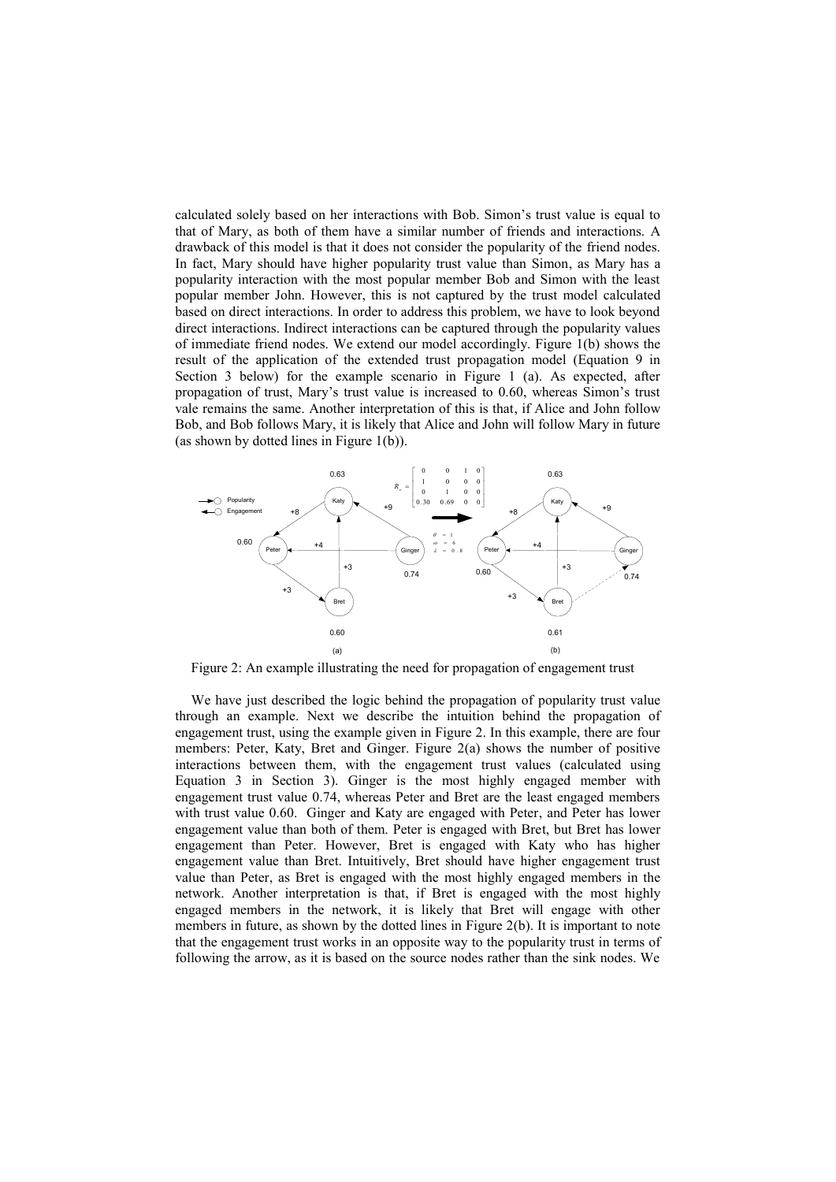calculated solely based on her interactions with Bob. Simon's trust value is equal to that of Mary, as both of them have a similar number of friends and interactions. A drawback of this model is that it does not consider the popularity of the friend nodes. In fact, Mary should have higher popularity trust value than Simon, as Mary has a popularity interaction with the most popular member Bob and Simon with the least popular member John. However, this is not captured by the trust model calculated based on direct interactions. In order to address this problem, we have to look beyond direct interactions. Indirect interactions can be captured through the popularity values of immediate friend nodes. We extend our model accordingly. Figure 1(b) shows the result of the application of the extended trust propagation model (Equation 9 in Section 3 below) for the example scenario in Figure 1 (a). As expected, after propagation of trust, Mary's trust value is increased to 0.60, whereas Simon's trust vale remains the same. Another interpretation of this is that, if Alice and John follow Bob, and Bob follows Mary, it is likely that Alice and John will follow Mary in future (as shown by dotted lines in Figure 1(b)).



Figure 2: An example illustrating the need for propagation of engagement trust

We have just described the logic behind the propagation of popularity trust value through an example. Next we describe the intuition behind the propagation of engagement trust, using the example given in Figure 2. In this example, there are four members: Peter, Katy, Bret and Ginger. Figure 2(a) shows the number of positive interactions between them, with the engagement trust values (calculated using Equation 3 in Section 3). Ginger is the most highly engaged member with engagement trust value 0.74, whereas Peter and Bret are the least engaged members with trust value 0.60. Ginger and Katy are engaged with Peter, and Peter has lower engagement value than both of them. Peter is engaged with Bret, but Bret has lower engagement than Peter. However, Bret is engaged with Katy who has higher engagement value than Bret. Intuitively, Bret should have higher engagement trust value than Peter, as Bret is engaged with the most highly engaged members in the network. Another interpretation is that, if Bret is engaged with the most highly engaged members in the network, it is likely that Bret will engage with other members in future, as shown by the dotted lines in Figure 2(b). It is important to note that the engagement trust works in an opposite way to the popularity trust in terms of following the arrow, as it is based on the source nodes rather than the sink nodes. We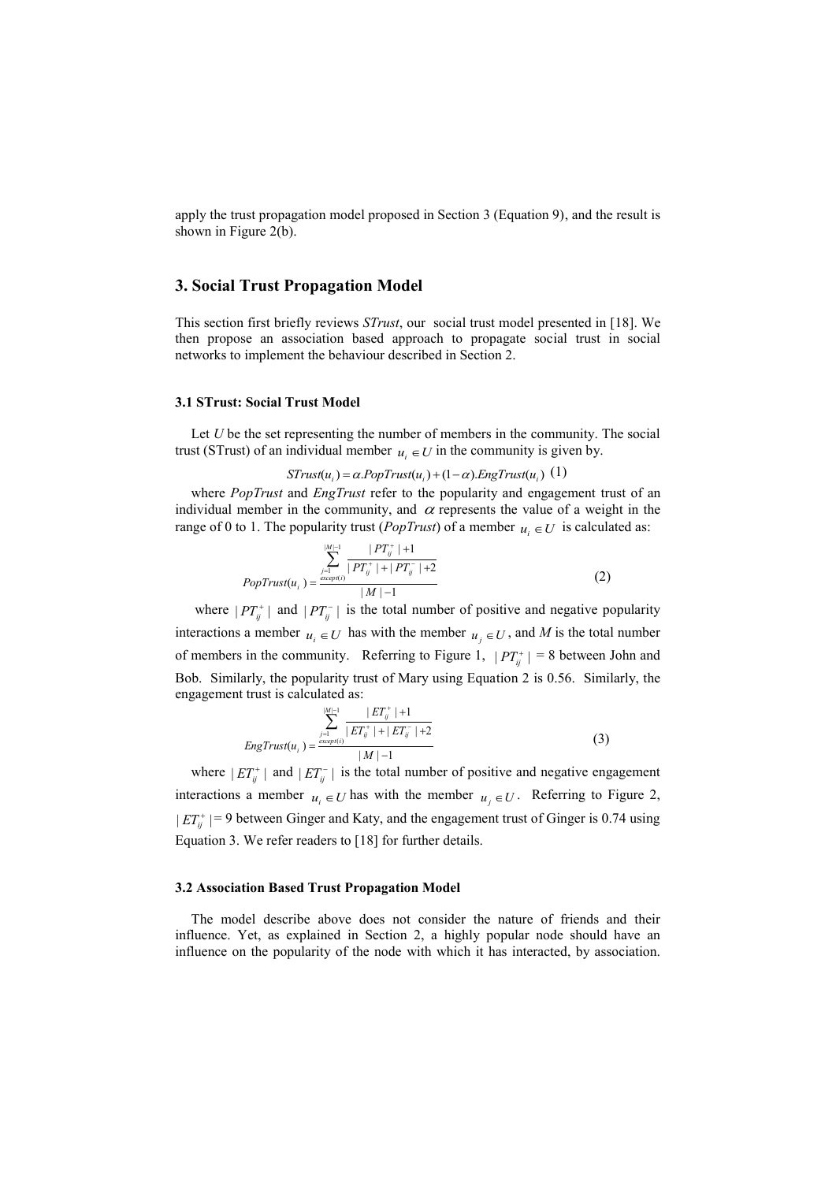apply the trust propagation model proposed in Section 3 (Equation 9), and the result is shown in Figure 2(b).

## **3. Social Trust Propagation Model**

This section first briefly reviews *STrust*, our social trust model presented in [\[18\]](#page-11-8). We then propose an association based approach to propagate social trust in social networks to implement the behaviour described in Section 2.

### **3.1 STrust: Social Trust Model**

Let *U* be the set representing the number of members in the community. The social trust (STrust) of an individual member  $u_i \in U$  in the community is given by.

## $STrust(u_i) = \alpha PopTrust(u_i) + (1 - \alpha) EngTrust(u_i)$  (1)

where *PopTrust* and *EngTrust* refer to the popularity and engagement trust of an individual member in the community, and  $\alpha$  represents the value of a weight in the range of 0 to 1. The popularity trust (*PopTrust*) of a member  $u_i \in U$  is calculated as:

$$
PopTrust(u_i) = \frac{\sum_{j=1}^{|M|-1} \frac{|PT_j^+|+1}{|PT_j^+|+|PT_j^-|+2}}{|M|-1}
$$
 (2)

where  $|PT_{ij}^+|$  and  $|PT_{ij}^-|$  is the total number of positive and negative popularity interactions a member  $u_i \in U$  has with the member  $u_j \in U$ , and M is the total number of members in the community. Referring to Figure 1,  $|PT_{ij}^+| = 8$  between John and Bob. Similarly, the popularity trust of Mary using Equation 2 is 0.56. Similarly, the engagement trust is calculated as:

$$
Eng Trust(u_i) = \frac{\sum_{j=1}^{|M|-1} \frac{|ET_j^+|+1|}{|ET_{ij}^+|+|ET_{ij}^-|+2}}{|M|-1}
$$
(3)

where  $|ET_j^+|$  and  $|ET_j^-|$  is the total number of positive and negative engagement interactions a member  $u_i \in U$  has with the member  $u_j \in U$ . Referring to Figure 2,  $|ET^+_{ij}| = 9$  between Ginger and Katy, and the engagement trust of Ginger is 0.74 using Equation 3. We refer readers to [\[18\]](#page-11-8) for further details.

#### **3.2 Association Based Trust Propagation Model**

The model describe above does not consider the nature of friends and their influence. Yet, as explained in Section 2, a highly popular node should have an influence on the popularity of the node with which it has interacted, by association.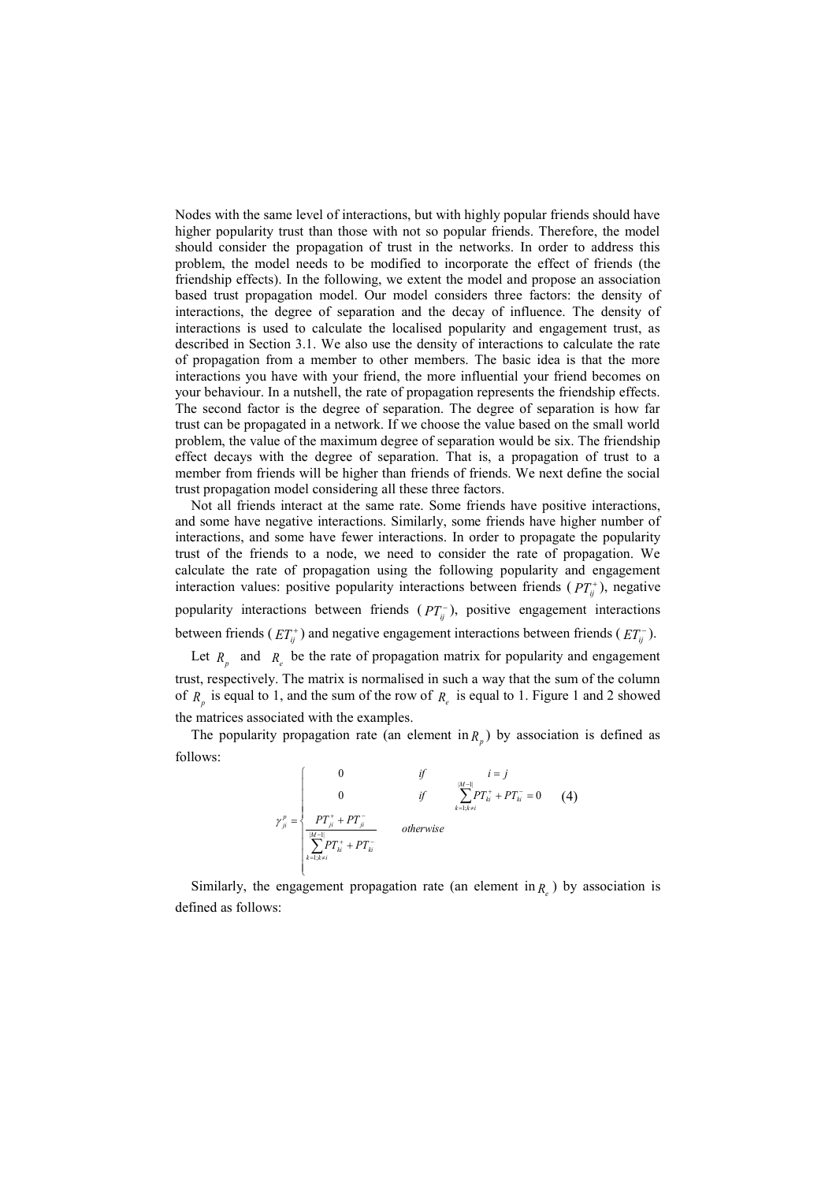Nodes with the same level of interactions, but with highly popular friends should have higher popularity trust than those with not so popular friends. Therefore, the model should consider the propagation of trust in the networks. In order to address this problem, the model needs to be modified to incorporate the effect of friends (the friendship effects). In the following, we extent the model and propose an association based trust propagation model. Our model considers three factors: the density of interactions, the degree of separation and the decay of influence. The density of interactions is used to calculate the localised popularity and engagement trust, as described in Section 3.1. We also use the density of interactions to calculate the rate of propagation from a member to other members. The basic idea is that the more interactions you have with your friend, the more influential your friend becomes on your behaviour. In a nutshell, the rate of propagation represents the friendship effects. The second factor is the degree of separation. The degree of separation is how far trust can be propagated in a network. If we choose the value based on the small world problem, the value of the maximum degree of separation would be six. The friendship effect decays with the degree of separation. That is, a propagation of trust to a member from friends will be higher than friends of friends. We next define the social trust propagation model considering all these three factors.

Not all friends interact at the same rate. Some friends have positive interactions, and some have negative interactions. Similarly, some friends have higher number of interactions, and some have fewer interactions. In order to propagate the popularity trust of the friends to a node, we need to consider the rate of propagation. We calculate the rate of propagation using the following popularity and engagement interaction values: positive popularity interactions between friends ( *PTij* ), negative popularity interactions between friends  $(PT_{ij}^-)$ , positive engagement interactions between friends ( $ET_{ij}^+$ ) and negative engagement interactions between friends ( $ET_{ij}^-$ ).

Let  $R_p$  and  $R_e$  be the rate of propagation matrix for popularity and engagement trust, respectively. The matrix is normalised in such a way that the sum of the column of  $R_p$  is equal to 1, and the sum of the row of  $R_e$  is equal to 1. Figure 1 and 2 showed the matrices associated with the examples.

The popularity propagation rate (an element in  $R_p$ ) by association is defined as follows:

$$
\gamma_{ji}^{p} = \begin{cases}\n0 & \text{if} & i = j \\
0 & \text{if} & \sum_{k=1, k \neq i}^{M-1} PT_{ik}^{+} + PT_{ki}^{-} = 0 \\
\frac{PT_{ji}^{+} + PT_{ji}^{-}}{\left|\sum_{k=1, k \neq i}^{M-1} PT_{ki}^{+} + PT_{ki}^{-}} & \text{otherwise}\n\end{cases}
$$
(4)

Similarly, the engagement propagation rate (an element in  $R_e$ ) by association is defined as follows: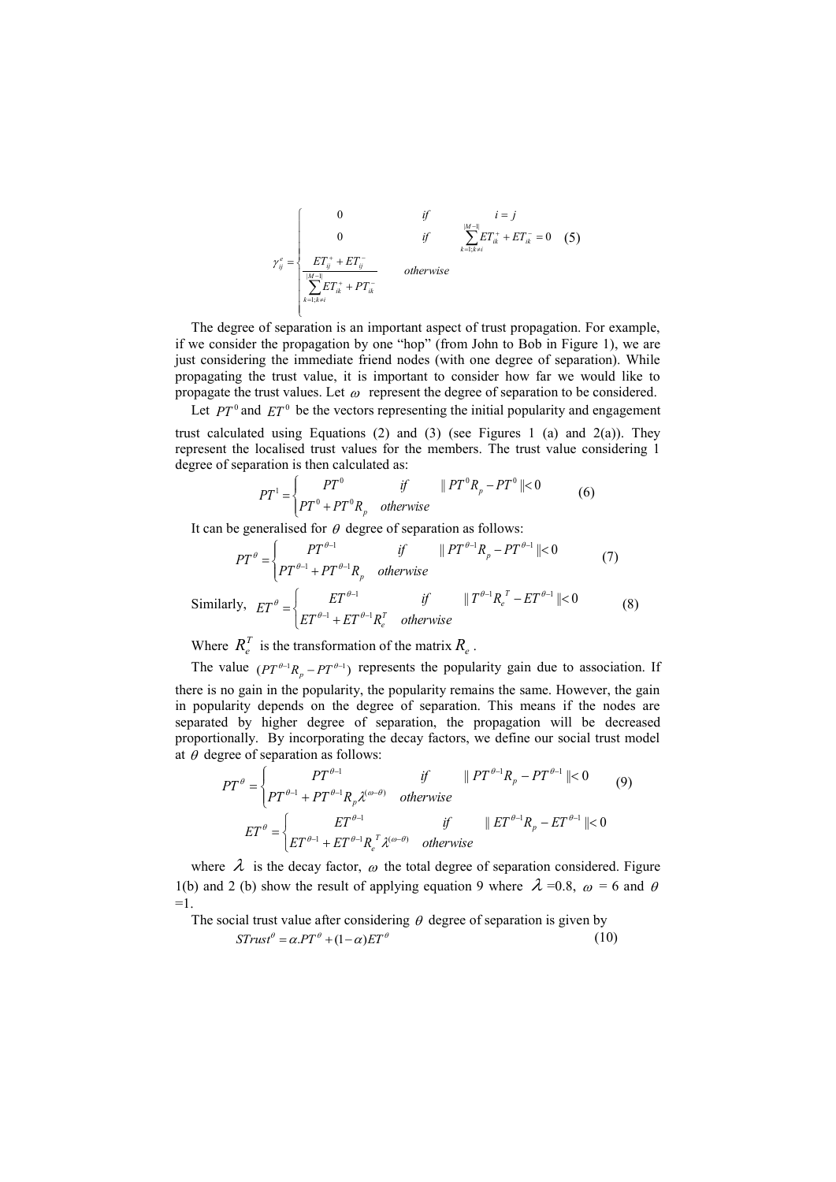$$
\gamma_{ij}^{e} = \begin{cases}\n0 & \text{if} & i = j \\
0 & \text{if} & \sum_{k=1; k \neq i}^{M-1} ET_{ik}^{+} + ET_{ik}^{-} = 0 \\
\frac{ET_{ij}^{+} + ET_{ij}^{-}}{\sum_{k=1; k \neq i}^{M-1} ET_{ik}^{+} + PT_{ik}^{-}} & \text{otherwise}\n\end{cases}
$$
\n(5)

The degree of separation is an important aspect of trust propagation. For example, if we consider the propagation by one "hop" (from John to Bob in Figure 1), we are just considering the immediate friend nodes (with one degree of separation). While propagating the trust value, it is important to consider how far we would like to propagate the trust values. Let  $\omega$  represent the degree of separation to be considered.

Let  $PT^0$  and  $ET^0$  be the vectors representing the initial popularity and engagement

trust calculated using Equations (2) and (3) (see Figures 1 (a) and  $2(a)$ ). They represent the localised trust values for the members. The trust value considering 1 degree of separation is then calculated as:

$$
PT^{1} = \begin{cases} PT^{0} & \text{if} \qquad ||PT^{0}R_{p} - PT^{0}|| < 0\\ PT^{0} + PT^{0}R_{p} & \text{otherwise} \end{cases}
$$
 (6)

It can be generalised for  $\theta$  degree of separation as follows:

$$
PT^{\theta} = \begin{cases} PT^{\theta-1} & \text{if } ||PT^{\theta-1}R_p - PT^{\theta-1}|| < 0 \text{ (7)} \\ PT^{\theta-1} + PT^{\theta-1}R_p & \text{otherwise} \end{cases}
$$
\nSimilarly,

\n
$$
ET^{\theta} = \begin{cases} ET^{\theta-1} & \text{if } ||T^{\theta-1}R_e^T - ET^{\theta-1}|| < 0 \\ ET^{\theta-1} + ET^{\theta-1}R_e^T & \text{otherwise} \end{cases}
$$
\n(8)

Where  $R_e^T$  is the transformation of the matrix  $R_e$ .

The value  $(PT^{\theta-1}R_p - PT^{\theta-1})$  represents the popularity gain due to association. If there is no gain in the popularity, the popularity remains the same. However, the gain in popularity depends on the degree of separation. This means if the nodes are separated by higher degree of separation, the propagation will be decreased proportionally. By incorporating the decay factors, we define our social trust model at  $\theta$  degree of separation as follows:

$$
PT^{\theta} = \begin{cases} PT^{\theta-1} & \text{if } ||PT^{\theta-1}R_p - PT^{\theta-1}|| < 0 \\ PT^{\theta-1} + PT^{\theta-1}R_p \lambda^{(\omega-\theta)} & \text{otherwise} \end{cases}
$$
(9)  

$$
ET^{\theta} = \begin{cases} ET^{\theta-1} & \text{if } ||ET^{\theta-1}R_p - ET^{\theta-1}|| < 0 \\ ET^{\theta-1} + ET^{\theta-1}R_e^T \lambda^{(\omega-\theta)} & \text{otherwise} \end{cases}
$$

where  $\lambda$  is the decay factor,  $\omega$  the total degree of separation considered. Figure 1(b) and 2 (b) show the result of applying equation 9 where  $\lambda = 0.8$ ,  $\omega = 6$  and  $\theta$  $=1$ .

The social trust value after considering  $\theta$  degree of separation is given by

$$
STrust^{\theta} = \alpha.PT^{\theta} + (1 - \alpha)ET^{\theta}
$$
\n(10)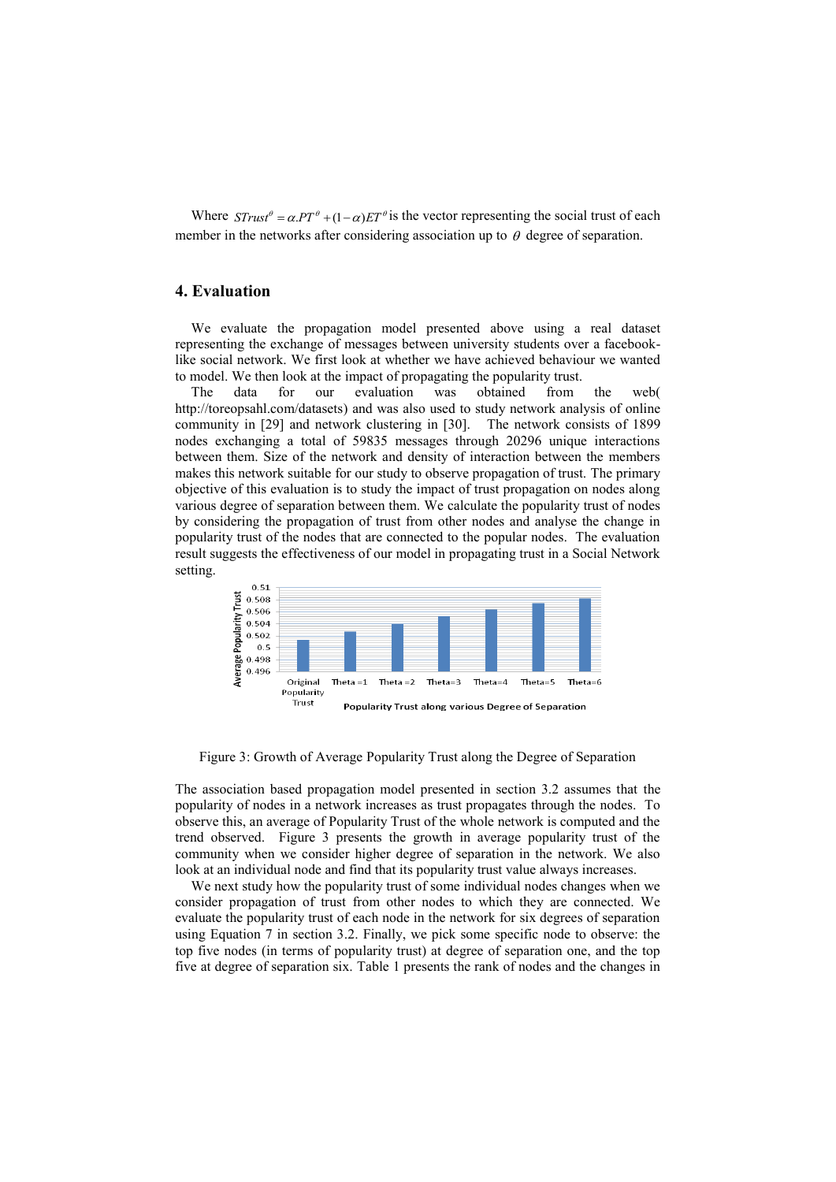Where  $STrust^{\theta} = \alpha.PT^{\theta} + (1-\alpha)ET^{\theta}$  is the vector representing the social trust of each member in the networks after considering association up to  $\theta$  degree of separation.

## **4. Evaluation**

We evaluate the propagation model presented above using a real dataset representing the exchange of messages between university students over a facebooklike social network. We first look at whether we have achieved behaviour we wanted to model. We then look at the impact of propagating the popularity trust.

The data for our evaluation was obtained from the web( [http://toreopsahl.com/datasets\)](http://toreopsahl.com/datasets) and was also used to study network analysis of online community in [29] and network clustering in [30]. The network consists of 1899 nodes exchanging a total of 59835 messages through 20296 unique interactions between them. Size of the network and density of interaction between the members makes this network suitable for our study to observe propagation of trust. The primary objective of this evaluation is to study the impact of trust propagation on nodes along various degree of separation between them. We calculate the popularity trust of nodes by considering the propagation of trust from other nodes and analyse the change in popularity trust of the nodes that are connected to the popular nodes. The evaluation result suggests the effectiveness of our model in propagating trust in a Social Network setting.



Figure 3: Growth of Average Popularity Trust along the Degree of Separation

The association based propagation model presented in section 3.2 assumes that the popularity of nodes in a network increases as trust propagates through the nodes. To observe this, an average of Popularity Trust of the whole network is computed and the trend observed. Figure 3 presents the growth in average popularity trust of the community when we consider higher degree of separation in the network. We also look at an individual node and find that its popularity trust value always increases.

We next study how the popularity trust of some individual nodes changes when we consider propagation of trust from other nodes to which they are connected. We evaluate the popularity trust of each node in the network for six degrees of separation using Equation 7 in section 3.2. Finally, we pick some specific node to observe: the top five nodes (in terms of popularity trust) at degree of separation one, and the top five at degree of separation six. Table 1 presents the rank of nodes and the changes in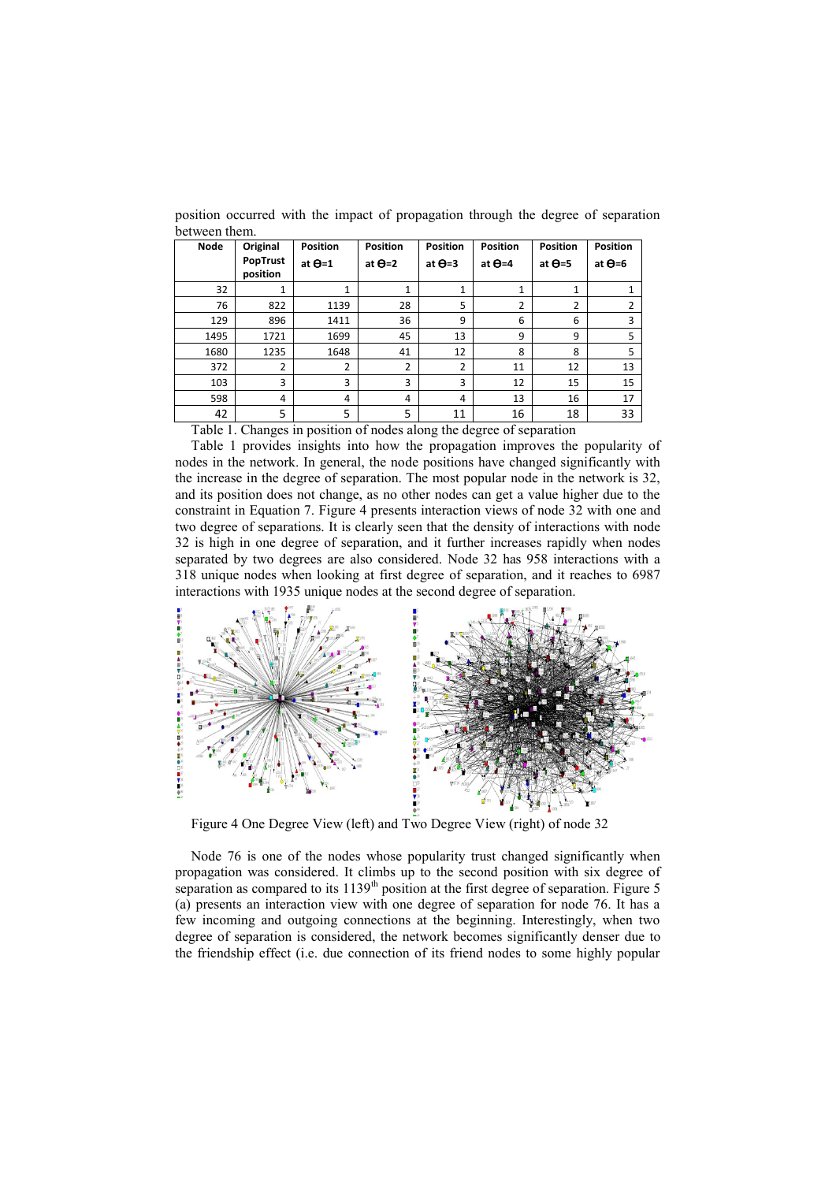| <b>Node</b> | Original             | <b>Position</b> | <b>Position</b> | <b>Position</b> | <b>Position</b> | <b>Position</b> | <b>Position</b> |
|-------------|----------------------|-----------------|-----------------|-----------------|-----------------|-----------------|-----------------|
|             | PopTrust<br>position | at $\Theta$ =1  | at $\Theta$ =2  | at $\Theta$ =3  | at $\Theta$ =4  | at $\Theta = 5$ | at $\Theta$ =6  |
| 32          | 1                    | 1               | 1               | $\mathbf{1}$    | 1               | $\mathbf{1}$    | 1               |
| 76          | 822                  | 1139            | 28              | 5               | 2               | 2               | $\overline{2}$  |
| 129         | 896                  | 1411            | 36              | 9               | 6               | 6               | 3               |
| 1495        | 1721                 | 1699            | 45              | 13              | 9               | 9               | 5               |
| 1680        | 1235                 | 1648            | 41              | 12              | 8               | 8               | 5               |
| 372         | $\overline{2}$       | $\overline{2}$  | $\overline{2}$  | $\overline{2}$  | 11              | 12              | 13              |
| 103         | 3                    | 3               | 3               | 3               | 12              | 15              | 15              |
| 598         | 4                    | 4               | 4               | 4               | 13              | 16              | 17              |
| 42          | 5                    | 5               | 5               | 11              | 16              | 18              | 33              |

position occurred with the impact of propagation through the degree of separation between them.

Table 1. Changes in position of nodes along the degree of separation

Table 1 provides insights into how the propagation improves the popularity of nodes in the network. In general, the node positions have changed significantly with the increase in the degree of separation. The most popular node in the network is 32, and its position does not change, as no other nodes can get a value higher due to the constraint in Equation 7. Figure 4 presents interaction views of node 32 with one and two degree of separations. It is clearly seen that the density of interactions with node 32 is high in one degree of separation, and it further increases rapidly when nodes separated by two degrees are also considered. Node 32 has 958 interactions with a 318 unique nodes when looking at first degree of separation, and it reaches to 6987 interactions with 1935 unique nodes at the second degree of separation.



Figure 4 One Degree View (left) and Two Degree View (right) of node 32

Node 76 is one of the nodes whose popularity trust changed significantly when propagation was considered. It climbs up to the second position with six degree of separation as compared to its  $1139<sup>th</sup>$  position at the first degree of separation. Figure 5 (a) presents an interaction view with one degree of separation for node 76. It has a few incoming and outgoing connections at the beginning. Interestingly, when two degree of separation is considered, the network becomes significantly denser due to the friendship effect (i.e. due connection of its friend nodes to some highly popular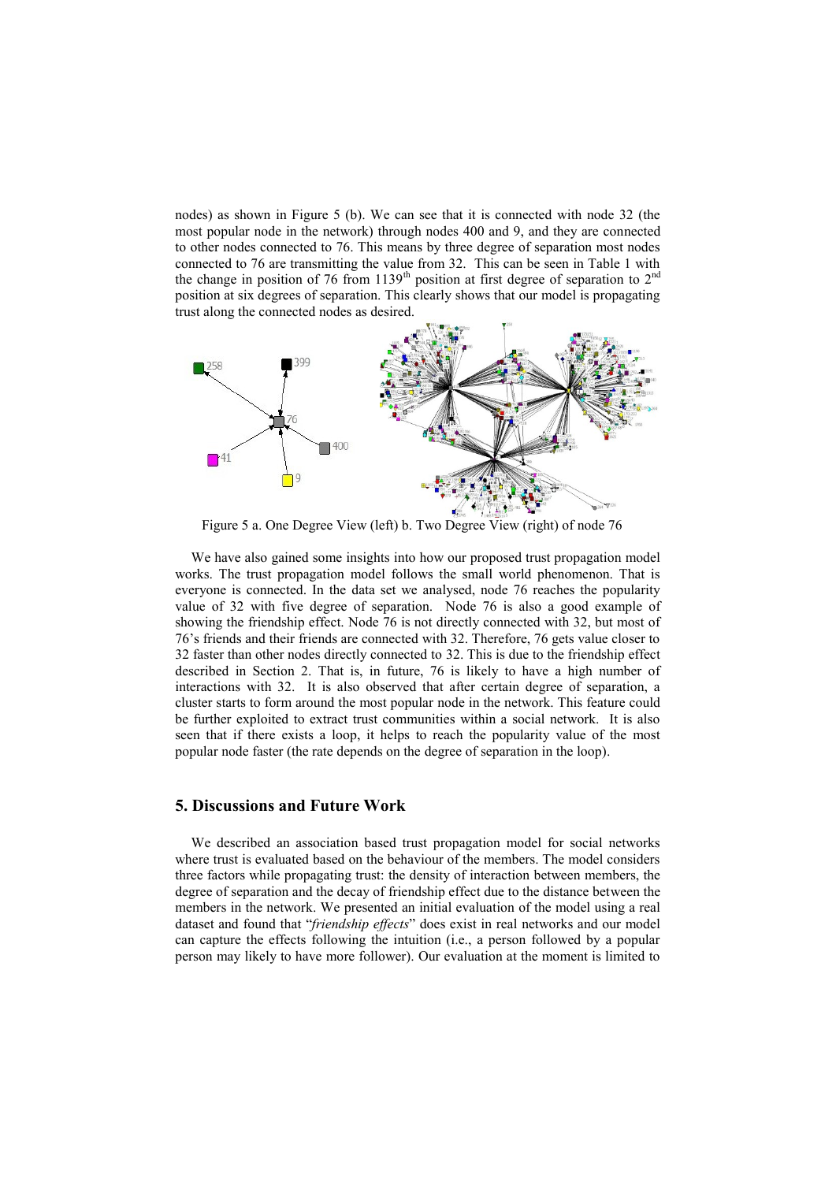nodes) as shown in Figure 5 (b). We can see that it is connected with node 32 (the most popular node in the network) through nodes 400 and 9, and they are connected to other nodes connected to 76. This means by three degree of separation most nodes connected to 76 are transmitting the value from 32. This can be seen in Table 1 with the change in position of 76 from 1139<sup>th</sup> position at first degree of separation to  $2<sup>nd</sup>$ position at six degrees of separation. This clearly shows that our model is propagating trust along the connected nodes as desired.



Figure 5 a. One Degree View (left) b. Two Degree View (right) of node 76

We have also gained some insights into how our proposed trust propagation model works. The trust propagation model follows the small world phenomenon. That is everyone is connected. In the data set we analysed, node 76 reaches the popularity value of 32 with five degree of separation. Node 76 is also a good example of showing the friendship effect. Node 76 is not directly connected with 32, but most of 76's friends and their friends are connected with 32. Therefore, 76 gets value closer to 32 faster than other nodes directly connected to 32. This is due to the friendship effect described in Section 2. That is, in future, 76 is likely to have a high number of interactions with 32. It is also observed that after certain degree of separation, a cluster starts to form around the most popular node in the network. This feature could be further exploited to extract trust communities within a social network. It is also seen that if there exists a loop, it helps to reach the popularity value of the most popular node faster (the rate depends on the degree of separation in the loop).

## **5. Discussions and Future Work**

We described an association based trust propagation model for social networks where trust is evaluated based on the behaviour of the members. The model considers three factors while propagating trust: the density of interaction between members, the degree of separation and the decay of friendship effect due to the distance between the members in the network. We presented an initial evaluation of the model using a real dataset and found that "*friendship effects*" does exist in real networks and our model can capture the effects following the intuition (i.e., a person followed by a popular person may likely to have more follower). Our evaluation at the moment is limited to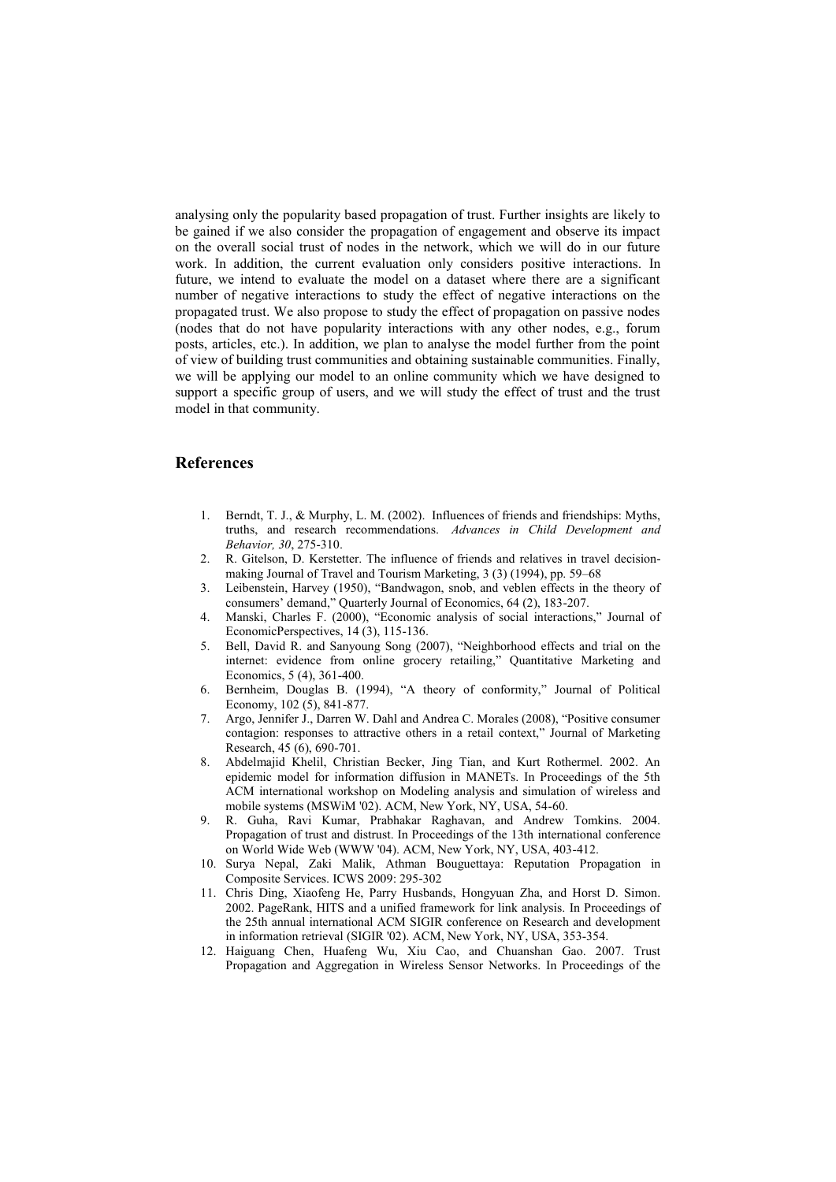analysing only the popularity based propagation of trust. Further insights are likely to be gained if we also consider the propagation of engagement and observe its impact on the overall social trust of nodes in the network, which we will do in our future work. In addition, the current evaluation only considers positive interactions. In future, we intend to evaluate the model on a dataset where there are a significant number of negative interactions to study the effect of negative interactions on the propagated trust. We also propose to study the effect of propagation on passive nodes (nodes that do not have popularity interactions with any other nodes, e.g., forum posts, articles, etc.). In addition, we plan to analyse the model further from the point of view of building trust communities and obtaining sustainable communities. Finally, we will be applying our model to an online community which we have designed to support a specific group of users, and we will study the effect of trust and the trust model in that community.

## **References**

- <span id="page-10-1"></span>1. Berndt, T. J., & Murphy, L. M. (2002). Influences of friends and friendships: Myths, truths, and research recommendations. *Advances in Child Development and Behavior, 30*, 275-310.
- <span id="page-10-0"></span>2. R. Gitelson, D. Kerstetter. The influence of friends and relatives in travel decisionmaking Journal of Travel and Tourism Marketing, 3 (3) (1994), pp. 59–68
- <span id="page-10-2"></span>3. Leibenstein, Harvey (1950), "Bandwagon, snob, and veblen effects in the theory of consumers' demand," Quarterly Journal of Economics, 64 (2), 183-207.
- <span id="page-10-3"></span>4. Manski, Charles F. (2000), "Economic analysis of social interactions," Journal of EconomicPerspectives, 14 (3), 115-136.
- <span id="page-10-4"></span>5. Bell, David R. and Sanyoung Song (2007), "Neighborhood effects and trial on the internet: evidence from online grocery retailing," Quantitative Marketing and Economics, 5 (4), 361-400.
- <span id="page-10-5"></span>6. Bernheim, Douglas B. (1994), "A theory of conformity," Journal of Political Economy, 102 (5), 841-877.
- <span id="page-10-6"></span>7. Argo, Jennifer J., Darren W. Dahl and Andrea C. Morales (2008), "Positive consumer contagion: responses to attractive others in a retail context," Journal of Marketing Research, 45 (6), 690-701.
- <span id="page-10-7"></span>8. Abdelmajid Khelil, Christian Becker, Jing Tian, and Kurt Rothermel. 2002. An epidemic model for information diffusion in MANETs. In Proceedings of the 5th ACM international workshop on Modeling analysis and simulation of wireless and mobile systems (MSWiM '02). ACM, New York, NY, USA, 54-60.
- <span id="page-10-8"></span>9. R. Guha, Ravi Kumar, Prabhakar Raghavan, and Andrew Tomkins. 2004. Propagation of trust and distrust. In Proceedings of the 13th international conference on World Wide Web (WWW '04). ACM, New York, NY, USA, 403-412.
- <span id="page-10-9"></span>10. Surya Nepal, [Zaki Malik,](http://www.informatik.uni-trier.de/~ley/db/indices/a-tree/m/Malik:Zaki.html) [Athman Bouguettaya:](http://www.informatik.uni-trier.de/~ley/db/indices/a-tree/b/Bouguettaya:Athman.html) Reputation Propagation in Composite Services. [ICWS 2009:](http://www.informatik.uni-trier.de/~ley/db/conf/icws/icws2009.html#NepalMB09) 295-302
- <span id="page-10-10"></span>11. Chris Ding, Xiaofeng He, Parry Husbands, Hongyuan Zha, and Horst D. Simon. 2002. PageRank, HITS and a unified framework for link analysis. In Proceedings of the 25th annual international ACM SIGIR conference on Research and development in information retrieval (SIGIR '02). ACM, New York, NY, USA, 353-354.
- 12. Haiguang Chen, Huafeng Wu, Xiu Cao, and Chuanshan Gao. 2007. Trust Propagation and Aggregation in Wireless Sensor Networks. In Proceedings of the